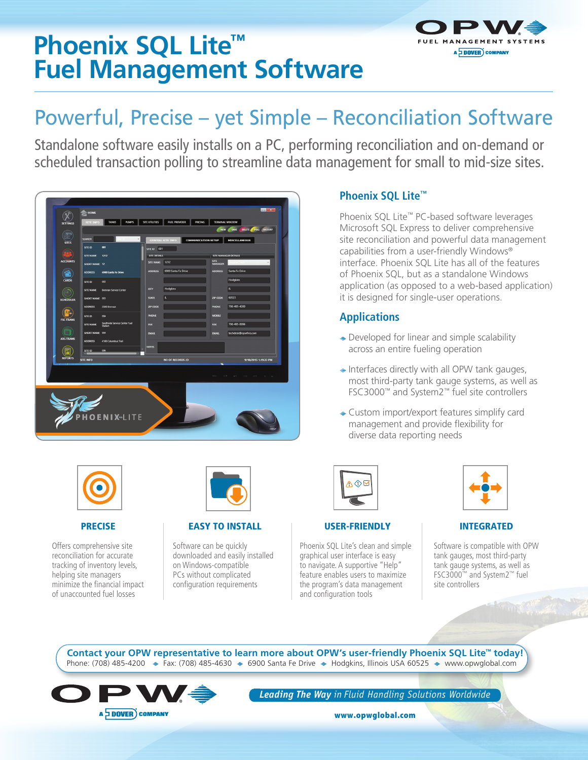# **Phoenix SQL Lite™ Fuel Management Software**



# Powerful, Precise – yet Simple – Reconciliation Software

Standalone software easily installs on a PC, performing reconciliation and on-demand or scheduled transaction polling to streamline data management for small to mid-size sites.





#### PRECISE

Offers comprehensive site reconciliation for accurate tracking of inventory levels, helping site managers minimize the financial impact of unaccounted fuel losses



#### EASY TO INSTALL

Software can be quickly downloaded and easily installed on Windows-compatible PCs without complicated configuration requirements

# **Phoenix SQL Lite™**

Phoenix SQL Lite™ PC-based software leverages Microsoft SQL Express to deliver comprehensive site reconciliation and powerful data management capabilities from a user-friendly Windows® interface. Phoenix SQL Lite has all of the features of Phoenix SQL, but as a standalone Windows application (as opposed to a web-based application) it is designed for single-user operations.

## **Applications**

- **→** Developed for linear and simple scalability across an entire fueling operation
- $\rightarrow$  Interfaces directly with all OPW tank gauges, most third-party tank gauge systems, as well as FSC3000™ and System2™ fuel site controllers
- ◆ Custom import/export features simplify card management and provide flexibility for diverse data reporting needs



#### USER-FRIENDLY

Phoenix SQL Lite's clean and simple graphical user interface is easy to navigate. A supportive "Help" feature enables users to maximize the program's data management and configuration tools



#### INTEGRATED

Software is compatible with OPW tank gauges, most third-party tank gauge systems, as well as FSC3000™ and System2™ fuel site controllers

Phone: (708) 485-4200  $\div$  Fax: (708) 485-4630  $\div$  6900 Santa Fe Drive  $\div$  Hodgkins, Illinois USA 60525  $\div$  www.opwglobal.com **Contact your OPW representative to learn more about OPW's user-friendly Phoenix SQL Lite™ today!**



*Leading The Way in Fluid Handling Solutions Worldwide*

www.opwglobal.com